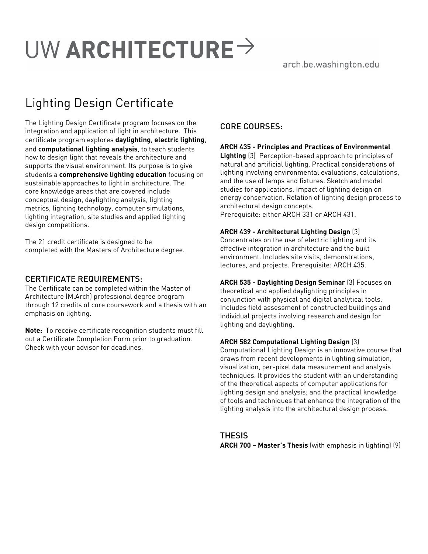# UW ARCHITECTURE  $\rightarrow$

# arch.be.washington.edu

# Lighting Design Certificate

The Lighting Design Certificate program focuses on the integration and application of light in architecture. This certificate program explores **daylighting**, **electric lighting**, and **computational lighting analysis**, to teach students how to design light that reveals the architecture and supports the visual environment. Its purpose is to give students a **comprehensive lighting education** focusing on sustainable approaches to light in architecture. The core knowledge areas that are covered include conceptual design, daylighting analysis, lighting metrics, lighting technology, computer simulations, lighting integration, site studies and applied lighting design competitions.

The 21 credit certificate is designed to be completed with the Masters of Architecture degree.

### CERTIFICATE REQUIREMENTS:

The Certificate can be completed within the Master of Architecture (M.Arch) professional degree program through 12 credits of core coursework and a thesis with an emphasis on lighting.

**Note:** To receive certificate recognition students must fill out a Certificate Completion Form prior to graduation. Check with your advisor for deadlines.

# CORE COURSES:

#### **ARCH 435 - Principles and Practices of Environmental**

**Lighting** (3) Perception-based approach to principles of natural and artificial lighting. Practical considerations of lighting involving environmental evaluations, calculations, and the use of lamps and fixtures. Sketch and model studies for applications. Impact of lighting design on energy conservation. Relation of lighting design process to architectural design concepts. Prerequisite: either ARCH 331 or ARCH 431.

#### **ARCH 439 - Architectural Lighting Design** (3)

Concentrates on the use of electric lighting and its effective integration in architecture and the built environment. Includes site visits, demonstrations, lectures, and projects. Prerequisite: ARCH 435.

**ARCH 535 - Daylighting Design Seminar** (3) Focuses on theoretical and applied daylighting principles in conjunction with physical and digital analytical tools. Includes field assessment of constructed buildings and individual projects involving research and design for lighting and daylighting.

#### **ARCH 582 Computational Lighting Design** (3)

Computational Lighting Design is an innovative course that draws from recent developments in lighting simulation, visualization, per-pixel data measurement and analysis techniques. It provides the student with an understanding of the theoretical aspects of computer applications for lighting design and analysis; and the practical knowledge of tools and techniques that enhance the integration of the lighting analysis into the architectural design process.

**THESIS ARCH 700 – Master's Thesis** (with emphasis in lighting) (9)